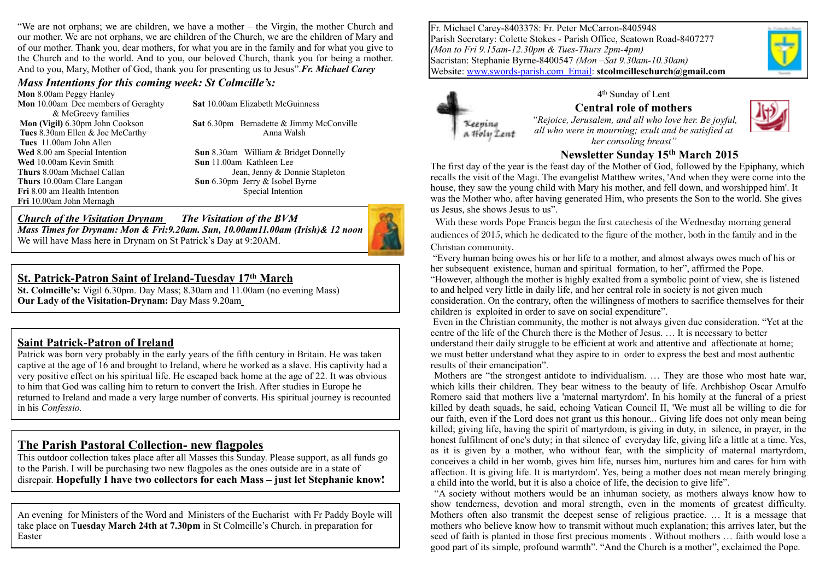"We are not orphans; we are children, we have a mother – the Virgin, the mother Church and our mother. We are not orphans, we are children of the Church, we are the children of Mary and of our mother. Thank you, dear mothers, for what you are in the family and for what you give to the Church and to the world. And to you, our beloved Church, thank you for being a mother. And to you, Mary, Mother of God, thank you for presenting us to Jesus".*Fr. Michael Carey*

#### *Mass Intentions for this coming week: St Colmcille's:*

**Mon** 8.00am Peggy Hanley **Mon** 10.00am Dec members of Geraghty **Sat** 10.00am Elizabeth McGuinness & McGreevy families **Tues 8.30am Ellen & Joe McCarthy Anna Walsh Tues** 11.00am John Allen **Wed** 10.00am Kevin Smith **Sun** 11.00am Kathleen Lee **Thurs** 10.00am Clare Langan **Sun** 6.30pm Jerry & Isobel Byrne **Fri** 8.00 am Health Intention Special Intention **Fri** 10.00am John Mernagh

**Mon (Vigil)** 6.30pm John Cookson **Sat** 6.30pm Bernadette & Jimmy McConville

**Wed** 8.00 am Special Intention **Sun** 8.30am William & Bridget Donnelly **Thurs** 8.00am Michael Callan Jean, Jenny & Donnie Stapleton

### *Church of the Visitation Drynam**The Visitation of the BVM*

*Mass Times for Drynam: Mon & Fri:9.20am. Sun, 10.00am11.00am (Irish)& 12 noon* We will have Mass here in Drynam on St Patrick's Day at 9:20AM.

# **St. Patrick-Patron Saint of Ireland-Tuesday 17th March**

**St. Colmcille's:** Vigil 6.30pm. Day Mass; 8.30am and 11.00am (no evening Mass) **Our Lady of the Visitation-Drynam:** Day Mass 9.20am

## **Saint Patrick-Patron of Ireland**

Patrick was born very probably in the early years of the fifth century in Britain. He was taken captive at the age of 16 and brought to Ireland, where he worked as a slave. His captivity had a very positive effect on his spiritual life. He escaped back home at the age of 22. It was obvious to him that God was calling him to return to convert the Irish. After studies in Europe he returned to Ireland and made a very large number of converts. His spiritual journey is recounted in his *Confessio.*

# **The Parish Pastoral Collection- new flagpoles**

This outdoor collection takes place after all Masses this Sunday. Please support, as all funds go to the Parish. I will be purchasing two new flagpoles as the ones outside are in a state of disrepair. **Hopefully I have two collectors for each Mass – just let Stephanie know!**

An evening for Ministers of the Word and Ministers of the Eucharist with Fr Paddy Boyle will take place on T**uesday March 24th at 7.30pm** in St Colmcille's Church. in preparation for Easter

Fr. Michael Carey-8403378: Fr. Peter McCarron-8405948 Parish Secretary: Colette Stokes - Parish Office, Seatown Road-8407277 *(Mon to Fri 9.15am-12.30pm & Tues-Thurs 2pm-4pm)* Sacristan: Stephanie Byrne-8400547 *(Mon –Sat 9.30am-10.30am)*  Website: [www.swords-parish.com Email:](http://www.swords-parish.com%20%20email) **stcolmcilleschurch@gmail.com**



4th Sunday of Lent **Central role of mothers** 

 *"Rejoice, Jerusalem, and all who love her. Be joyful, all who were in mourning; exult and be satisfied at her consoling breast"* 



## **Newsletter Sunday 15th March 2015**

The first day of the year is the feast day of the Mother of God, followed by the Epiphany, which recalls the visit of the Magi. The evangelist Matthew writes, 'And when they were come into the house, they saw the young child with Mary his mother, and fell down, and worshipped him'. It was the Mother who, after having generated Him, who presents the Son to the world. She gives us Jesus, she shows Jesus to us".

With these words Pope Francis began the first catechesis of the Wednesday morning general audiences of 2015, which he dedicated to the figure of the mother, both in the family and in the

#### Christian community.

 "Every human being owes his or her life to a mother, and almost always owes much of his or her subsequent existence, human and spiritual formation, to her", affirmed the Pope. "However, although the mother is highly exalted from a symbolic point of view, she is listened to and helped very little in daily life, and her central role in society is not given much consideration. On the contrary, often the willingness of mothers to sacrifice themselves for their children is exploited in order to save on social expenditure".

 Even in the Christian community, the mother is not always given due consideration. "Yet at the centre of the life of the Church there is the Mother of Jesus. … It is necessary to better understand their daily struggle to be efficient at work and attentive and affectionate at home; we must better understand what they aspire to in order to express the best and most authentic results of their emancipation".

 Mothers are "the strongest antidote to individualism. … They are those who most hate war, which kills their children. They bear witness to the beauty of life. Archbishop Oscar Arnulfo Romero said that mothers live a 'maternal martyrdom'. In his homily at the funeral of a priest killed by death squads, he said, echoing Vatican Council II, 'We must all be willing to die for our faith, even if the Lord does not grant us this honour... Giving life does not only mean being killed; giving life, having the spirit of martyrdom, is giving in duty, in silence, in prayer, in the honest fulfilment of one's duty; in that silence of everyday life, giving life a little at a time. Yes, as it is given by a mother, who without fear, with the simplicity of maternal martyrdom, conceives a child in her womb, gives him life, nurses him, nurtures him and cares for him with affection. It is giving life. It is martyrdom'. Yes, being a mother does not mean merely bringing a child into the world, but it is also a choice of life, the decision to give life".

 "A society without mothers would be an inhuman society, as mothers always know how to show tenderness, devotion and moral strength, even in the moments of greatest difficulty. Mothers often also transmit the deepest sense of religious practice. … It is a message that mothers who believe know how to transmit without much explanation; this arrives later, but the seed of faith is planted in those first precious moments . Without mothers … faith would lose a good part of its simple, profound warmth". "And the Church is a mother", exclaimed the Pope.